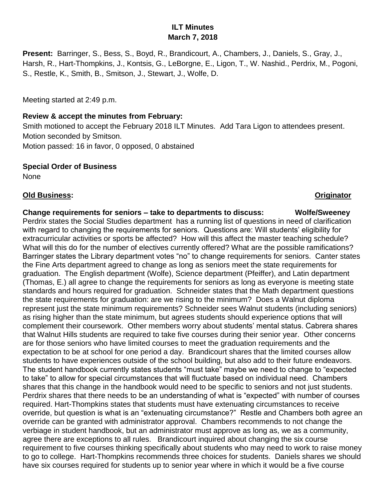# **ILT Minutes March 7, 2018**

**Present:** Barringer, S., Bess, S., Boyd, R., Brandicourt, A., Chambers, J., Daniels, S., Gray, J., Harsh, R., Hart-Thompkins, J., Kontsis, G., LeBorgne, E., Ligon, T., W. Nashid., Perdrix, M., Pogoni, S., Restle, K., Smith, B., Smitson, J., Stewart, J., Wolfe, D.

Meeting started at 2:49 p.m.

# **Review & accept the minutes from February:**

Smith motioned to accept the February 2018 ILT Minutes. Add Tara Ligon to attendees present. Motion seconded by Smitson.

Motion passed: 16 in favor, 0 opposed, 0 abstained

# **Special Order of Business**

None

# **Old Business: Originator**

# **Change requirements for seniors – take to departments to discuss: Wolfe/Sweeney**

Perdrix states the Social Studies department has a running list of questions in need of clarification with regard to changing the requirements for seniors. Questions are: Will students' eligibility for extracurricular activities or sports be affected? How will this affect the master teaching schedule? What will this do for the number of electives currently offered? What are the possible ramifications? Barringer states the Library department votes "no" to change requirements for seniors. Canter states the Fine Arts department agreed to change as long as seniors meet the state requirements for graduation. The English department (Wolfe), Science department (Pfeiffer), and Latin department (Thomas, E.) all agree to change the requirements for seniors as long as everyone is meeting state standards and hours required for graduation. Schneider states that the Math department questions the state requirements for graduation: are we rising to the minimum? Does a Walnut diploma represent just the state minimum requirements? Schneider sees Walnut students (including seniors) as rising higher than the state minimum, but agrees students should experience options that will complement their coursework. Other members worry about students' mental status. Cabrera shares that Walnut Hills students are required to take five courses during their senior year. Other concerns are for those seniors who have limited courses to meet the graduation requirements and the expectation to be at school for one period a day. Brandicourt shares that the limited courses allow students to have experiences outside of the school building, but also add to their future endeavors. The student handbook currently states students "must take" maybe we need to change to "expected to take" to allow for special circumstances that will fluctuate based on individual need. Chambers shares that this change in the handbook would need to be specific to seniors and not just students. Perdrix shares that there needs to be an understanding of what is "expected" with number of courses required. Hart-Thompkins states that students must have extenuating circumstances to receive override, but question is what is an "extenuating circumstance?" Restle and Chambers both agree an override can be granted with administrator approval. Chambers recommends to not change the verbiage in student handbook, but an administrator must approve as long as, we as a community, agree there are exceptions to all rules. Brandicourt inquired about changing the six course requirement to five courses thinking specifically about students who may need to work to raise money to go to college. Hart-Thompkins recommends three choices for students. Daniels shares we should have six courses required for students up to senior year where in which it would be a five course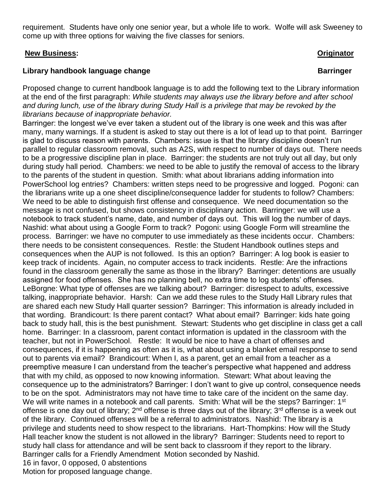requirement. Students have only one senior year, but a whole life to work. Wolfe will ask Sweeney to come up with three options for waiving the five classes for seniors.

### **New Business: Originator**

# **Library handbook language change Barringer Barringer**

Proposed change to current handbook language is to add the following text to the Library information at the end of the first paragraph: *While students may always use the library before and after school and during lunch, use of the library during Study Hall is a privilege that may be revoked by the librarians because of inappropriate behavior.* 

Barringer: the longest we've ever taken a student out of the library is one week and this was after many, many warnings. If a student is asked to stay out there is a lot of lead up to that point. Barringer is glad to discuss reason with parents. Chambers: issue is that the library discipline doesn't run parallel to regular classroom removal, such as A2S, with respect to number of days out. There needs to be a progressive discipline plan in place. Barringer: the students are not truly out all day, but only during study hall period. Chambers: we need to be able to justify the removal of access to the library to the parents of the student in question. Smith: what about librarians adding information into PowerSchool log entries? Chambers: written steps need to be progressive and logged. Pogoni: can the librarians write up a one sheet discipline/consequence ladder for students to follow? Chambers: We need to be able to distinguish first offense and consequence. We need documentation so the message is not confused, but shows consistency in disciplinary action. Barringer: we will use a notebook to track student's name, date, and number of days out. This will log the number of days. Nashid: what about using a Google Form to track? Pogoni: using Google Form will streamline the process. Barringer: we have no computer to use immediately as these incidents occur. Chambers: there needs to be consistent consequences. Restle: the Student Handbook outlines steps and consequences when the AUP is not followed. Is this an option? Barringer: A log book is easier to keep track of incidents. Again, no computer access to track incidents. Restle: Are the infractions found in the classroom generally the same as those in the library? Barringer: detentions are usually assigned for food offenses. She has no planning bell, no extra time to log students' offenses. LeBorgne: What type of offenses are we talking about? Barringer: disrespect to adults, excessive talking, inappropriate behavior. Harsh: Can we add these rules to the Study Hall Library rules that are shared each new Study Hall quarter session? Barringer: This information is already included in that wording. Brandicourt: Is there parent contact? What about email? Barringer: kids hate going back to study hall, this is the best punishment. Stewart: Students who get discipline in class get a call home. Barringer: In a classroom, parent contact information is updated in the classroom with the teacher, but not in PowerSchool. Restle: It would be nice to have a chart of offenses and consequences, if it is happening as often as it is, what about using a blanket email response to send out to parents via email? Brandicourt: When I, as a parent, get an email from a teacher as a preemptive measure I can understand from the teacher's perspective what happened and address that with my child, as opposed to now knowing information. Stewart: What about leaving the consequence up to the administrators? Barringer: I don't want to give up control, consequence needs to be on the spot. Administrators may not have time to take care of the incident on the same day. We will write names in a notebook and call parents. Smith: What will be the steps? Barringer: 1<sup>st</sup> offense is one day out of library;  $2^{nd}$  offense is three days out of the library;  $3^{rd}$  offense is a week out of the library. Continued offenses will be a referral to administrators. Nashid: The library is a privilege and students need to show respect to the librarians. Hart-Thompkins: How will the Study Hall teacher know the student is not allowed in the library? Barringer: Students need to report to study hall class for attendance and will be sent back to classroom if they report to the library. Barringer calls for a Friendly Amendment Motion seconded by Nashid. 16 in favor, 0 opposed, 0 abstentions

Motion for proposed language change.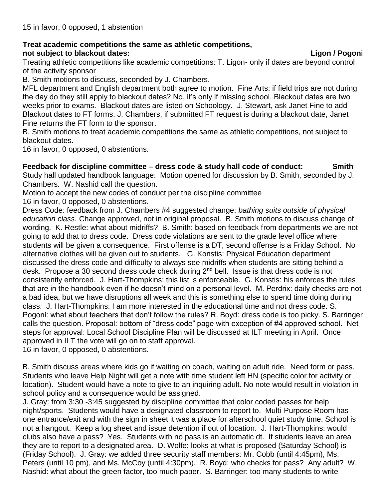### **Treat academic competitions the same as athletic competitions, not subject to blackout dates: Ligon / Pogon**i

Treating athletic competitions like academic competitions: T. Ligon- only if dates are beyond control of the activity sponsor

B. Smith motions to discuss, seconded by J. Chambers.

MFL department and English department both agree to motion. Fine Arts: if field trips are not during the day do they still apply to blackout dates? No, it's only if missing school. Blackout dates are two weeks prior to exams. Blackout dates are listed on Schoology. J. Stewart, ask Janet Fine to add Blackout dates to FT forms. J. Chambers, if submitted FT request is during a blackout date, Janet Fine returns the FT form to the sponsor.

B. Smith motions to treat academic competitions the same as athletic competitions, not subject to blackout dates.

16 in favor, 0 opposed, 0 abstentions.

**Feedback for discipline committee – dress code & study hall code of conduct: Smith** Study hall updated handbook language: Motion opened for discussion by B. Smith, seconded by J. Chambers. W. Nashid call the question.

Motion to accept the new codes of conduct per the discipline committee

16 in favor, 0 opposed, 0 abstentions.

Dress Code: feedback from J. Chambers #4 suggested change: *bathing suits outside of physical education class.* Change approved, not in original proposal. B. Smith motions to discuss change of wording. K. Restle: what about midriffs? B. Smith: based on feedback from departments we are not going to add that to dress code. Dress code violations are sent to the grade level office where students will be given a consequence. First offense is a DT, second offense is a Friday School. No alternative clothes will be given out to students. G. Konstis: Physical Education department discussed the dress code and difficulty to always see midriffs when students are sitting behind a desk. Propose a 30 second dress code check during 2<sup>nd</sup> bell. Issue is that dress code is not consistently enforced. J. Hart-Thompkins: this list is enforceable. G. Konstis: his enforces the rules that are in the handbook even if he doesn't mind on a personal level. M. Perdrix: daily checks are not a bad idea, but we have disruptions all week and this is something else to spend time doing during class. J. Hart-Thompkins: I am more interested in the educational time and not dress code. S. Pogoni: what about teachers that don't follow the rules? R. Boyd: dress code is too picky. S. Barringer calls the question. Proposal: bottom of "dress code" page with exception of #4 approved school. Net steps for approval: Local School Discipline Plan will be discussed at ILT meeting in April. Once approved in ILT the vote will go on to staff approval.

16 in favor, 0 opposed, 0 abstentions.

B. Smith discuss areas where kids go if waiting on coach, waiting on adult ride. Need form or pass. Students who leave Help Night will get a note with time student left HN (specific color for activity or location). Student would have a note to give to an inquiring adult. No note would result in violation in school policy and a consequence would be assigned.

J. Gray: from 3:30 -3:45 suggested by discipline committee that color coded passes for help night/sports. Students would have a designated classroom to report to. Multi-Purpose Room has one entrance/exit and with the sign in sheet it was a place for afterschool quiet study time. School is not a hangout. Keep a log sheet and issue detention if out of location. J. Hart-Thompkins: would clubs also have a pass? Yes. Students with no pass is an automatic dt. If students leave an area they are to report to a designated area. D. Wolfe: looks at what is proposed (Saturday School) is (Friday School). J. Gray: we added three security staff members: Mr. Cobb (until 4:45pm), Ms. Peters (until 10 pm), and Ms. McCoy (until 4:30pm). R. Boyd: who checks for pass? Any adult? W. Nashid: what about the green factor, too much paper. S. Barringer: too many students to write